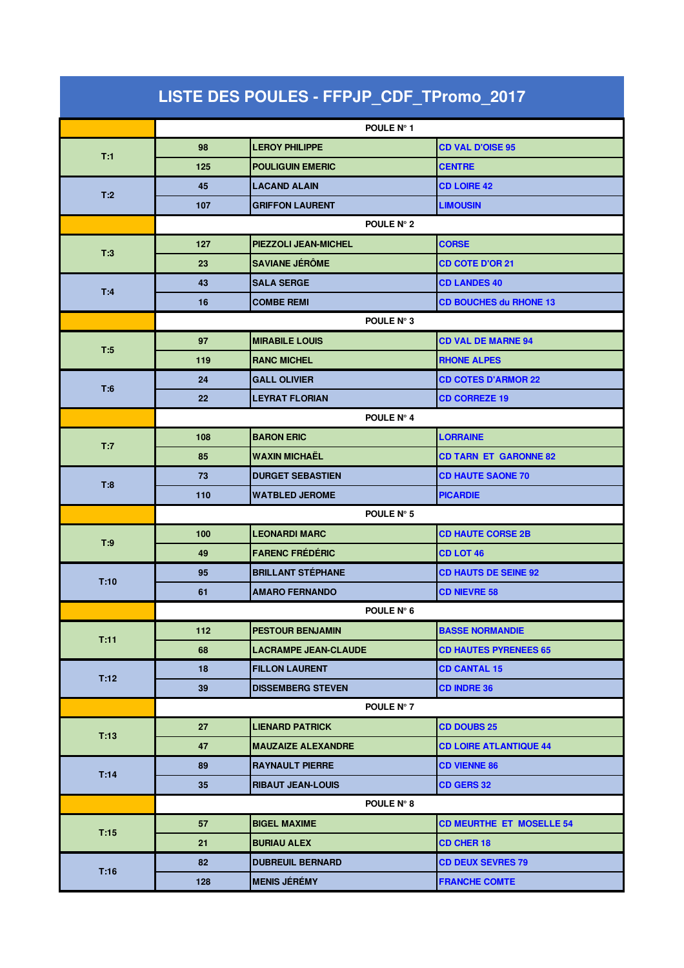| LISTE DES POULES - FFPJP_CDF_TPromo_2017 |            |                             |                                 |  |  |
|------------------------------------------|------------|-----------------------------|---------------------------------|--|--|
|                                          |            | POULE N° 1                  |                                 |  |  |
| T:1                                      | 98         | <b>LEROY PHILIPPE</b>       | <b>CD VAL D'OISE 95</b>         |  |  |
|                                          | 125        | <b>POULIGUIN EMERIC</b>     | <b>CENTRE</b>                   |  |  |
|                                          | 45         | <b>LACAND ALAIN</b>         | <b>CD LOIRE 42</b>              |  |  |
| T:2                                      | 107        | <b>GRIFFON LAURENT</b>      | <b>LIMOUSIN</b>                 |  |  |
|                                          |            | POULE N° 2                  |                                 |  |  |
|                                          | 127        | PIEZZOLI JEAN-MICHEL        | <b>CORSE</b>                    |  |  |
| T:3                                      | 23         | <b>SAVIANE JÉRÔME</b>       | <b>CD COTE D'OR 21</b>          |  |  |
| T:4                                      | 43         | <b>SALA SERGE</b>           | <b>CD LANDES 40</b>             |  |  |
|                                          | 16         | <b>COMBE REMI</b>           | <b>CD BOUCHES du RHONE 13</b>   |  |  |
|                                          |            | POULE N° 3                  |                                 |  |  |
| T:5                                      | 97         | <b>MIRABILE LOUIS</b>       | <b>CD VAL DE MARNE 94</b>       |  |  |
|                                          | 119        | <b>RANC MICHEL</b>          | <b>RHONE ALPES</b>              |  |  |
| T:6                                      | 24         | <b>GALL OLIVIER</b>         | <b>CD COTES D'ARMOR 22</b>      |  |  |
|                                          | 22         | <b>LEYRAT FLORIAN</b>       | <b>CD CORREZE 19</b>            |  |  |
|                                          |            | POULE N° 4                  |                                 |  |  |
| T:7                                      | 108        | <b>BARON ERIC</b>           | <b>LORRAINE</b>                 |  |  |
|                                          | 85         | <b>WAXIN MICHAËL</b>        | <b>CD TARN ET GARONNE 82</b>    |  |  |
| T:8                                      | 73         | <b>DURGET SEBASTIEN</b>     | <b>CD HAUTE SAONE 70</b>        |  |  |
|                                          | 110        | <b>WATBLED JEROME</b>       | <b>PICARDIE</b>                 |  |  |
|                                          | POULE N° 5 |                             |                                 |  |  |
| T:9                                      | 100        | <b>LEONARDI MARC</b>        | <b>CD HAUTE CORSE 2B</b>        |  |  |
|                                          | 49         | <b>FARENC FREDERIC</b>      | <b>CD LOT 46</b>                |  |  |
| T:10                                     | 95         | <b>BRILLANT STÉPHANE</b>    | <b>CD HAUTS DE SEINE 92</b>     |  |  |
|                                          | 61         | <b>AMARO FERNANDO</b>       | <b>CD NIEVRE 58</b>             |  |  |
|                                          |            | POULE N° 6                  |                                 |  |  |
| T:11                                     | 112        | <b>PESTOUR BENJAMIN</b>     | <b>BASSE NORMANDIE</b>          |  |  |
|                                          | 68         | <b>LACRAMPE JEAN-CLAUDE</b> | <b>CD HAUTES PYRENEES 65</b>    |  |  |
| T:12                                     | 18         | <b>FILLON LAURENT</b>       | <b>CD CANTAL 15</b>             |  |  |
|                                          | 39         | <b>DISSEMBERG STEVEN</b>    | <b>CD INDRE 36</b>              |  |  |
|                                          |            | POULE N° 7                  |                                 |  |  |
| T:13                                     | 27         | <b>LIENARD PATRICK</b>      | <b>CD DOUBS 25</b>              |  |  |
|                                          | 47         | <b>MAUZAIZE ALEXANDRE</b>   | <b>CD LOIRE ATLANTIQUE 44</b>   |  |  |
| T:14                                     | 89         | <b>RAYNAULT PIERRE</b>      | <b>CD VIENNE 86</b>             |  |  |
|                                          | 35         | <b>RIBAUT JEAN-LOUIS</b>    | <b>CD GERS 32</b>               |  |  |
|                                          |            | POULE N° 8                  |                                 |  |  |
| T:15                                     | 57         | <b>BIGEL MAXIME</b>         | <b>CD MEURTHE ET MOSELLE 54</b> |  |  |
|                                          | 21         | <b>BURIAU ALEX</b>          | <b>CD CHER 18</b>               |  |  |
| T:16                                     | 82         | <b>DUBREUIL BERNARD</b>     | <b>CD DEUX SEVRES 79</b>        |  |  |
|                                          | 128        | <b>MENIS JÉRÉMY</b>         | <b>FRANCHE COMTE</b>            |  |  |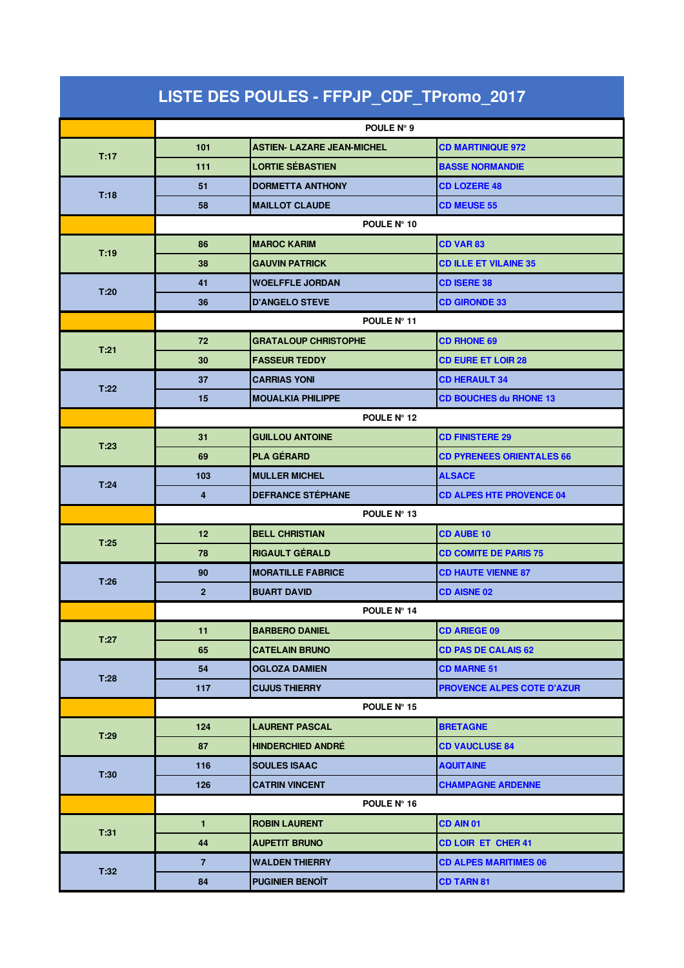| LISTE DES POULES - FFPJP_CDF_TPromo_2017 |                         |                                   |                                   |  |  |
|------------------------------------------|-------------------------|-----------------------------------|-----------------------------------|--|--|
|                                          | POULE N° 9              |                                   |                                   |  |  |
| T:17                                     | 101                     | <b>ASTIEN- LAZARE JEAN-MICHEL</b> | <b>CD MARTINIQUE 972</b>          |  |  |
|                                          | 111                     | <b>LORTIE SÉBASTIEN</b>           | <b>BASSE NORMANDIE</b>            |  |  |
|                                          | 51                      | <b>DORMETTA ANTHONY</b>           | <b>CD LOZERE 48</b>               |  |  |
| T:18                                     | 58                      | <b>MAILLOT CLAUDE</b>             | <b>CD MEUSE 55</b>                |  |  |
|                                          | POULE N° 10             |                                   |                                   |  |  |
| T:19                                     | 86                      | <b>MAROC KARIM</b>                | <b>CD VAR83</b>                   |  |  |
|                                          | 38                      | <b>GAUVIN PATRICK</b>             | <b>CD ILLE ET VILAINE 35</b>      |  |  |
| T:20                                     | 41                      | <b>WOELFFLE JORDAN</b>            | <b>CD ISERE 38</b>                |  |  |
|                                          | 36                      | <b>D'ANGELO STEVE</b>             | <b>CD GIRONDE 33</b>              |  |  |
|                                          |                         | POULE Nº 11                       |                                   |  |  |
| T:21                                     | 72                      | <b>GRATALOUP CHRISTOPHE</b>       | <b>CD RHONE 69</b>                |  |  |
|                                          | 30                      | <b>FASSEUR TEDDY</b>              | <b>CD EURE ET LOIR 28</b>         |  |  |
| T:22                                     | 37                      | <b>CARRIAS YONI</b>               | <b>CD HERAULT 34</b>              |  |  |
|                                          | 15                      | <b>MOUALKIA PHILIPPE</b>          | <b>CD BOUCHES du RHONE 13</b>     |  |  |
|                                          | POULE N° 12             |                                   |                                   |  |  |
| T:23                                     | 31                      | <b>GUILLOU ANTOINE</b>            | <b>CD FINISTERE 29</b>            |  |  |
|                                          | 69                      | <b>PLA GÉRARD</b>                 | <b>CD PYRENEES ORIENTALES 66</b>  |  |  |
| T:24                                     | 103                     | <b>MULLER MICHEL</b>              | <b>ALSACE</b>                     |  |  |
|                                          | 4                       | <b>DEFRANCE STÉPHANE</b>          | <b>CD ALPES HTE PROVENCE 04</b>   |  |  |
|                                          | POULE Nº 13             |                                   |                                   |  |  |
| T:25                                     | 12                      | <b>BELL CHRISTIAN</b>             | <b>CD AUBE 10</b>                 |  |  |
|                                          | 78                      | <b>RIGAULT GÉRALD</b>             | <b>CD COMITE DE PARIS 75</b>      |  |  |
| T:26                                     | 90                      | <b>MORATILLE FABRICE</b>          | <b>CD HAUTE VIENNE 87</b>         |  |  |
|                                          | $\overline{\mathbf{c}}$ | <b>BUART DAVID</b>                | <b>CD AISNE 02</b>                |  |  |
|                                          |                         | POULE N° 14                       |                                   |  |  |
| T:27                                     | 11                      | <b>BARBERO DANIEL</b>             | <b>CD ARIEGE 09</b>               |  |  |
|                                          | 65                      | <b>CATELAIN BRUNO</b>             | <b>CD PAS DE CALAIS 62</b>        |  |  |
| T:28                                     | 54                      | <b>OGLOZA DAMIEN</b>              | <b>CD MARNE 51</b>                |  |  |
|                                          | 117                     | <b>CUJUS THIERRY</b>              | <b>PROVENCE ALPES COTE D'AZUR</b> |  |  |
|                                          |                         | POULE N° 15                       |                                   |  |  |
| T:29                                     | 124                     | <b>LAURENT PASCAL</b>             | <b>BRETAGNE</b>                   |  |  |
|                                          | 87                      | <b>HINDERCHIED ANDRE</b>          | <b>CD VAUCLUSE 84</b>             |  |  |
| T:30                                     | 116                     | <b>SOULES ISAAC</b>               | <b>AQUITAINE</b>                  |  |  |
|                                          | 126                     | <b>CATRIN VINCENT</b>             | <b>CHAMPAGNE ARDENNE</b>          |  |  |
|                                          |                         | POULE N° 16                       |                                   |  |  |
| T:31                                     | $\mathbf{1}$            | <b>ROBIN LAURENT</b>              | CD AIN 01                         |  |  |
|                                          | 44                      | <b>AUPETIT BRUNO</b>              | <b>CD LOIR ET CHER 41</b>         |  |  |
| T:32                                     | $\overline{7}$          | <b>WALDEN THIERRY</b>             | <b>CD ALPES MARITIMES 06</b>      |  |  |
|                                          | 84                      | <b>PUGINIER BENOIT</b>            | <b>CD TARN 81</b>                 |  |  |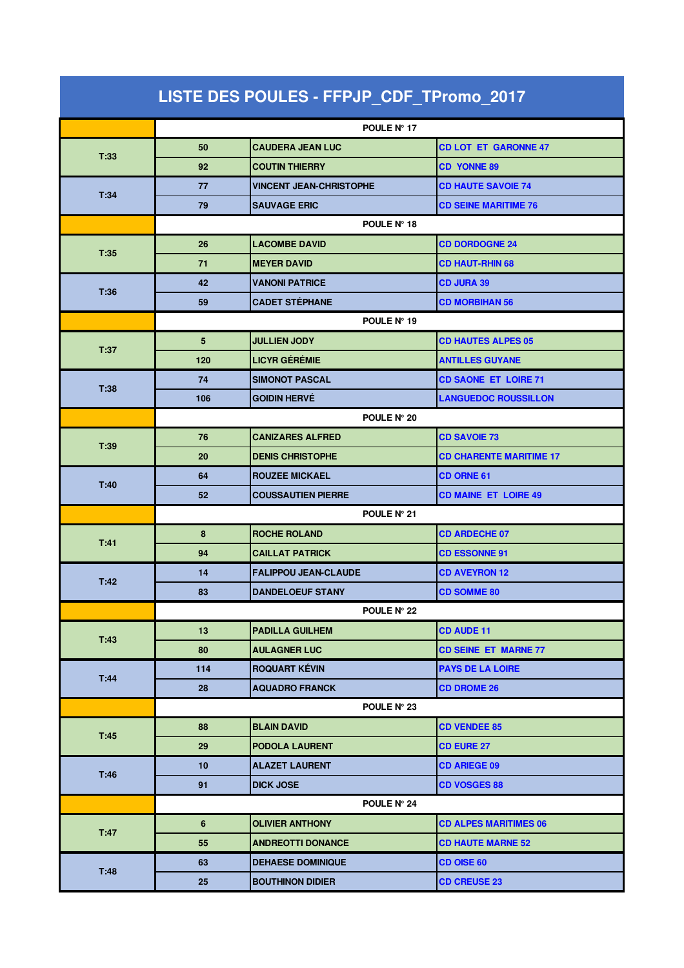| LISTE DES POULES - FFPJP_CDF_TPromo_2017 |                |                                |                                |  |
|------------------------------------------|----------------|--------------------------------|--------------------------------|--|
|                                          |                | POULE Nº 17                    |                                |  |
| T:33                                     | 50             | <b>CAUDERA JEAN LUC</b>        | <b>CD LOT ET GARONNE 47</b>    |  |
|                                          | 92             | <b>COUTIN THIERRY</b>          | <b>CD YONNE 89</b>             |  |
|                                          | 77             | <b>VINCENT JEAN-CHRISTOPHE</b> | <b>CD HAUTE SAVOIE 74</b>      |  |
| T:34                                     | 79             | <b>SAUVAGE ERIC</b>            | <b>CD SEINE MARITIME 76</b>    |  |
|                                          | POULE N° 18    |                                |                                |  |
|                                          | 26             | <b>LACOMBE DAVID</b>           | <b>CD DORDOGNE 24</b>          |  |
| T:35                                     | 71             | <b>MEYER DAVID</b>             | <b>CD HAUT-RHIN 68</b>         |  |
| T:36                                     | 42             | <b>VANONI PATRICE</b>          | <b>CD JURA 39</b>              |  |
|                                          | 59             | <b>CADET STÉPHANE</b>          | <b>CD MORBIHAN 56</b>          |  |
|                                          | POULE N° 19    |                                |                                |  |
| T:37                                     | 5              | <b>JULLIEN JODY</b>            | <b>CD HAUTES ALPES 05</b>      |  |
|                                          | 120            | <b>LICYR GÉRÉMIE</b>           | <b>ANTILLES GUYANE</b>         |  |
| T:38                                     | 74             | <b>SIMONOT PASCAL</b>          | <b>CD SAONE ET LOIRE 71</b>    |  |
|                                          | 106            | <b>GOIDIN HERVÉ</b>            | <b>LANGUEDOC ROUSSILLON</b>    |  |
|                                          | POULE N° 20    |                                |                                |  |
| T:39                                     | 76             | <b>CANIZARES ALFRED</b>        | <b>CD SAVOIE 73</b>            |  |
|                                          | 20             | <b>DENIS CHRISTOPHE</b>        | <b>CD CHARENTE MARITIME 17</b> |  |
| T:40                                     | 64             | <b>ROUZEE MICKAEL</b>          | <b>CD ORNE 61</b>              |  |
|                                          | 52             | <b>COUSSAUTIEN PIERRE</b>      | <b>CD MAINE ET LOIRE 49</b>    |  |
|                                          | POULE N° 21    |                                |                                |  |
| T:41                                     | 8              | <b>ROCHE ROLAND</b>            | <b>CD ARDECHE 07</b>           |  |
|                                          | 94             | <b>CAILLAT PATRICK</b>         | <b>CD ESSONNE 91</b>           |  |
| T:42                                     | 14             | <b>FALIPPOU JEAN-CLAUDE</b>    | <b>CD AVEYRON 12</b>           |  |
|                                          | 83             | <b>DANDELOEUF STANY</b>        | <b>CD SOMME 80</b>             |  |
|                                          |                | POULE N° 22                    |                                |  |
| T:43                                     | 13             | <b>PADILLA GUILHEM</b>         | <b>CD AUDE 11</b>              |  |
|                                          | 80             | <b>AULAGNER LUC</b>            | <b>CD SEINE ET MARNE 77</b>    |  |
| T:44                                     | 114            | <b>ROQUART KÉVIN</b>           | <b>PAYS DE LA LOIRE</b>        |  |
|                                          | 28             | <b>AQUADRO FRANCK</b>          | <b>CD DROME 26</b>             |  |
|                                          |                | POULE N° 23                    |                                |  |
| T:45                                     | 88             | <b>BLAIN DAVID</b>             | <b>CD VENDEE 85</b>            |  |
|                                          | 29             | <b>PODOLA LAURENT</b>          | <b>CD EURE 27</b>              |  |
| T:46                                     | 10             | <b>ALAZET LAURENT</b>          | <b>CD ARIEGE 09</b>            |  |
|                                          | 91             | <b>DICK JOSE</b>               | <b>CD VOSGES 88</b>            |  |
|                                          |                | POULE N° 24                    |                                |  |
| T:47                                     | $6\phantom{1}$ | <b>OLIVIER ANTHONY</b>         | <b>CD ALPES MARITIMES 06</b>   |  |
|                                          | 55             | <b>ANDREOTTI DONANCE</b>       | <b>CD HAUTE MARNE 52</b>       |  |
| T:48                                     | 63             | <b>DEHAESE DOMINIQUE</b>       | <b>CD OISE 60</b>              |  |
|                                          | 25             | <b>BOUTHINON DIDIER</b>        | <b>CD CREUSE 23</b>            |  |